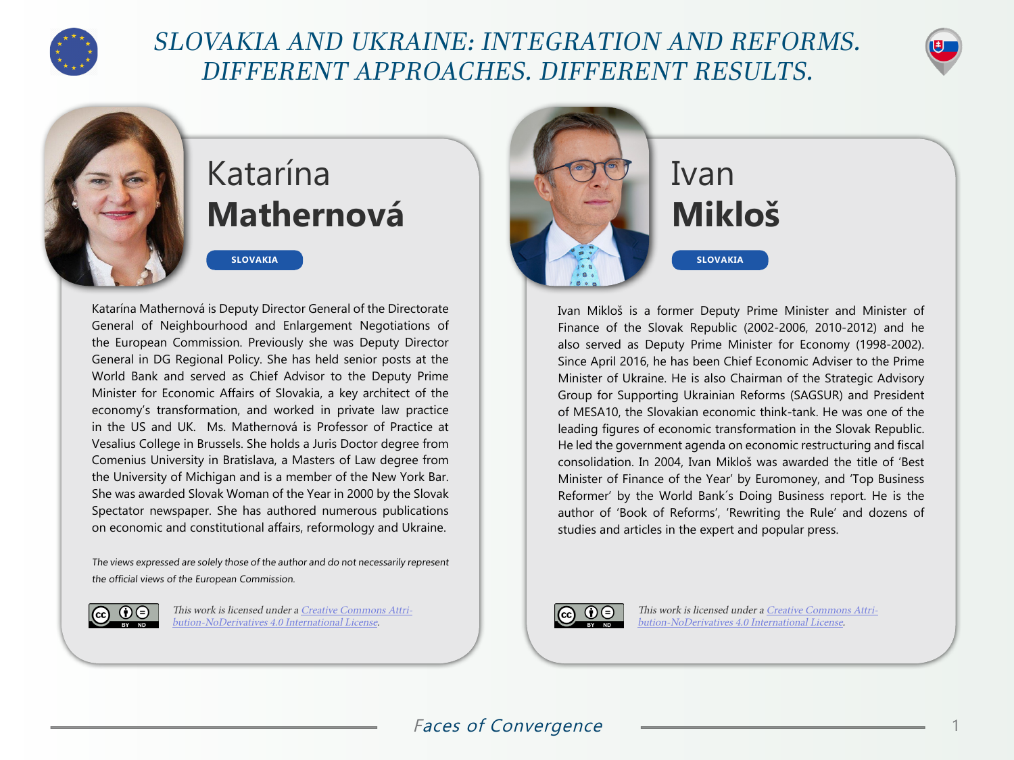

## SLOVAKIA AND UKRAINE: INTEGRATION AND REFORMS. DIFFERENT APPROACHES. DIFFERENT RESULTS.



## Katarína **Mathernová**

**SLOVAKIA**

Katarína Mathernová is Deputy Director General of the Directorate General of Neighbourhood and Enlargement Negotiations of the European Commission. Previously she was Deputy Director General in DG Regional Policy. She has held senior posts at the World Bank and served as Chief Advisor to the Deputy Prime Minister for Economic Affairs of Slovakia, a key architect of the economy's transformation, and worked in private law practice in the US and UK. Ms. Mathernová is Professor of Practice at Vesalius College in Brussels. She holds a Juris Doctor degree from Comenius University in Bratislava, a Masters of Law degree from the University of Michigan and is a member of the New York Bar. She was awarded Slovak Woman of the Year in 2000 by the Slovak Spectator newspaper. She has authored numerous publications on economic and constitutional affairs, reformology and Ukraine.

The views expressed are solely those of the author and do not necessarily represent the official views of the European Commission.



This work is licensed under a [Creative Commons Attri](https://creativecommons.org/licenses/by-nd/4.0/)[bution-NoDerivatives 4.0 International License](https://creativecommons.org/licenses/by-nd/4.0/).



## **Mikloš**

Ivan Mikloš is a former Deputy Prime Minister and Minister of Finance of the Slovak Republic (2002-2006, 2010-2012) and he also served as Deputy Prime Minister for Economy (1998-2002). Since April 2016, he has been Chief Economic Adviser to the Prime Minister of Ukraine. He is also Chairman of the Strategic Advisory Group for Supporting Ukrainian Reforms (SAGSUR) and President of MESA10, the Slovakian economic think-tank. He was one of the leading figures of economic transformation in the Slovak Republic. He led the government agenda on economic restructuring and fiscal consolidation. In 2004, Ivan Mikloš was awarded the title of 'Best Minister of Finance of the Year' by Euromoney, and 'Top Business Reformer' by the World Bank´s Doing Business report. He is the author of 'Book of Reforms', 'Rewriting the Rule' and dozens of studies and articles in the expert and popular press.



This work is licensed under a [Creative Commons Attri](https://creativecommons.org/licenses/by-nd/4.0/)[bution-NoDerivatives 4.0 International License](https://creativecommons.org/licenses/by-nd/4.0/).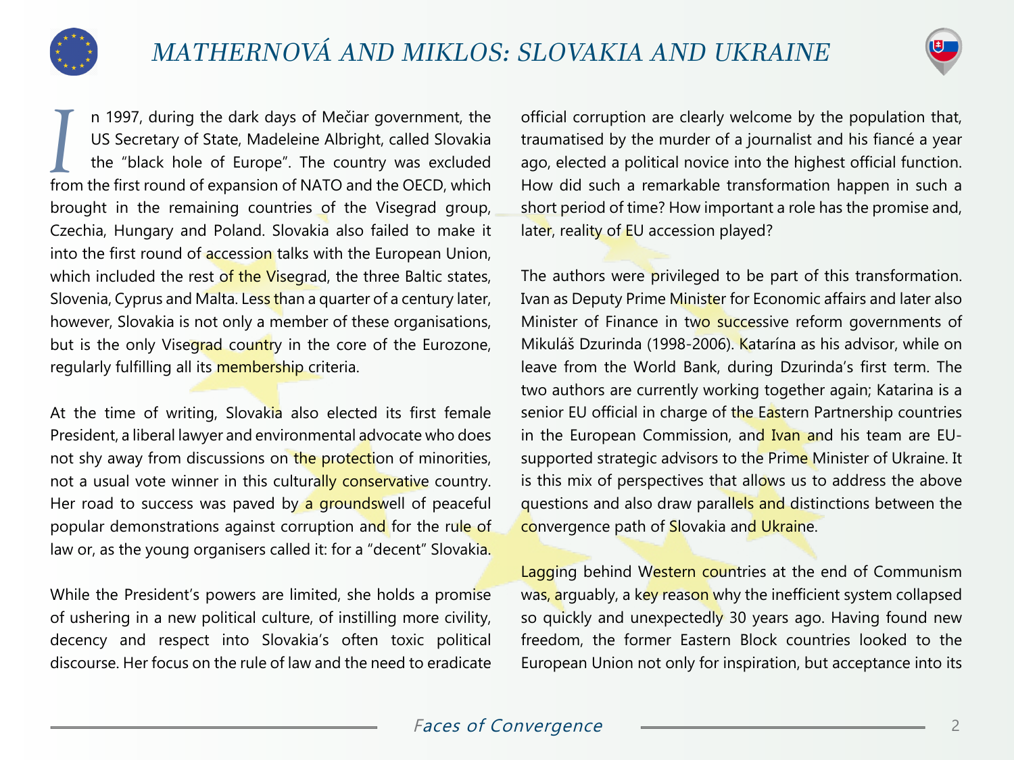

II a 1997, during the dark days of Mečiar government, the US Secretary of State, Madeleine Albright, called Slovakia the "black hole of Europe". The country was excluded from the first round of expansion of NATO and the OE n 1997, during the dark days of Mečiar government, the US Secretary of State, Madeleine Albright, called Slovakia the "black hole of Europe". The country was excluded brought in the remaining countries of the Visegrad group, Czechia, Hungary and Poland. Slovakia also failed to make it into the first round of accession talks with the European Union, which included the rest of the Visegrad, the three Baltic states, Slovenia, Cyprus and Malta. Less than a quarter of a century later, however, Slovakia is not only a member of these organisations, but is the only Visegrad country in the core of the Eurozone, regularly fulfilling all its membership criteria.

At the time of writing, Slovakia also elected its first female President, a liberal lawyer and environmental advocate who does not shy away from discussions on the protection of minorities, not a usual vote winner in this culturally conservative country. Her road to success was paved by a groundswell of peaceful popular demonstrations against corruption and for the rule of law or, as the young organisers called it: for a "decent" Slovakia.

While the President's powers are limited, she holds a promise of ushering in a new political culture, of instilling more civility, decency and respect into Slovakia's often toxic political discourse. Her focus on the rule of law and the need to eradicate official corruption are clearly welcome by the population that, traumatised by the murder of a journalist and his fiancé a year ago, elected a political novice into the highest official function. How did such a remarkable transformation happen in such a short period of time? How important a role has the promise and, later, reality of EU accession played?

The authors were privileged to be part of this transformation. Ivan as Deputy Prime Minister for Economic affairs and later also Minister of Finance in two successive reform governments of Mikuláš Dzurinda (1998-2006). Katarína as his advisor, while on leave from the World Bank, during Dzurinda's first term. The two authors are currently working together again; Katarina is a senior EU official in charge of the Eastern Partnership countries in the European Commission, and Ivan and his team are EUsupported strategic advisors to the Prime Minister of Ukraine. It is this mix of perspectives that allows us to address the above questions and also draw parallels and distinctions between the convergence path of Slovakia and Ukraine.

Lagging behind Western countries at the end of Communism was, arguably, a key reason why the inefficient system collapsed so quickly and unexpectedly 30 years ago. Having found new freedom, the former Eastern Block countries looked to the European Union not only for inspiration, but acceptance into its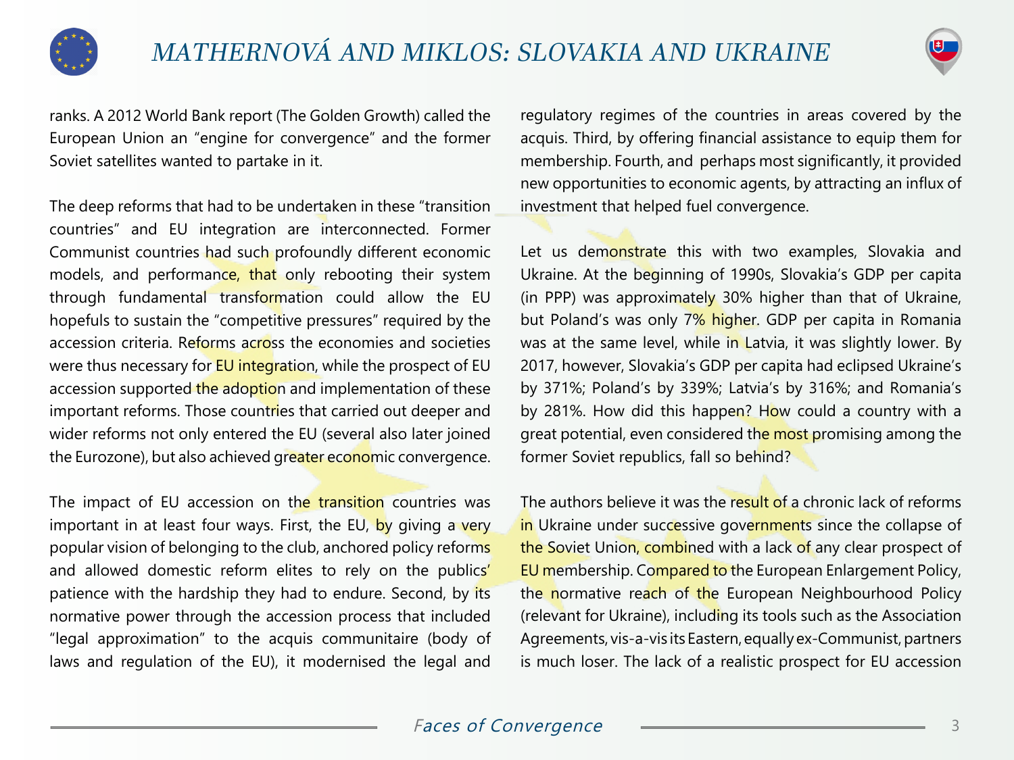



ranks. A 2012 World Bank report (The Golden Growth) called the European Union an "engine for convergence" and the former Soviet satellites wanted to partake in it.

The deep reforms that had to be undertaken in these "transition countries" and EU integration are interconnected. Former Communist countries had such profoundly different economic models, and performance, that only rebooting their system through fundamental transformation could allow the EU hopefuls to sustain the "competitive pressures" required by the accession criteria. Reforms across the economies and societies were thus necessary for **EU** integration, while the prospect of EU accession supported the adoption and implementation of these important reforms. Those countries that carried out deeper and wider reforms not only entered the EU (several also later joined the Eurozone), but also achieved greater economic convergence.

The impact of EU accession on the transition countries was important in at least four ways. First, the EU, by giving a very popular vision of belonging to the club, anchored policy reforms and allowed domestic reform elites to rely on the publics' patience with the hardship they had to endure. Second, by its normative power through the accession process that included "legal approximation" to the acquis communitaire (body of laws and regulation of the EU), it modernised the legal and

regulatory regimes of the countries in areas covered by the acquis. Third, by offering financial assistance to equip them for membership. Fourth, and perhaps most significantly, it provided new opportunities to economic agents, by attracting an influx of investment that helped fuel convergence.

Let us demonstrate this with two examples, Slovakia and Ukraine. At the beginning of 1990s, Slovakia's GDP per capita (in PPP) was approximately 30% higher than that of Ukraine, but Poland's was only 7% higher. GDP per capita in Romania was at the same level, while in Latvia, it was slightly lower. By 2017, however, Slovakia's GDP per capita had eclipsed Ukraine's by 371%; Poland's by 339%; Latvia's by 316%; and Romania's by 281%. How did this happen? How could a country with a great potential, even considered the most promising among the former Soviet republics, fall so behind?

The authors believe it was the result of a chronic lack of reforms in Ukraine under successive governments since the collapse of the Soviet Union, combined with a lack of any clear prospect of EU membership. Compared to the European Enlargement Policy, the normative reach of the European Neighbourhood Policy (relevant for Ukraine), including its tools such as the Association Agreements, vis-a-vis its Eastern, equally ex-Communist, partners is much loser. The lack of a realistic prospect for EU accession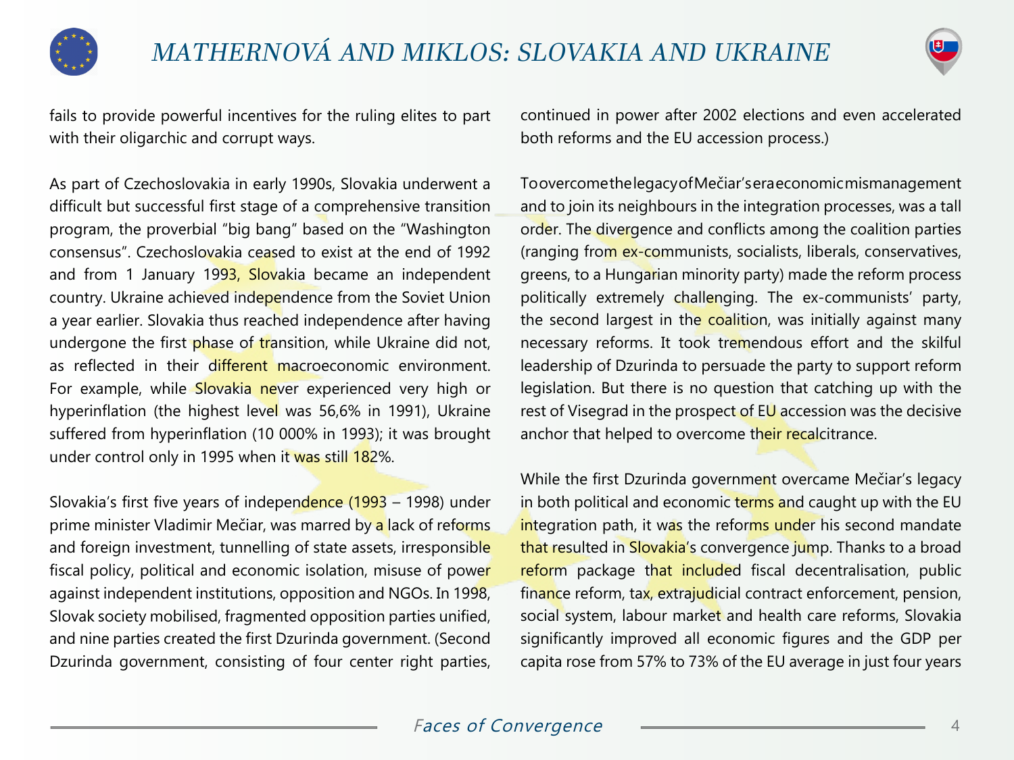



fails to provide powerful incentives for the ruling elites to part with their oligarchic and corrupt ways.

As part of Czechoslovakia in early 1990s, Slovakia underwent a difficult but successful first stage of a comprehensive transition program, the proverbial "big bang" based on the "Washington consensus". Czechoslovakia ceased to exist at the end of 1992 and from 1 January 1993, Slovakia became an independent country. Ukraine achieved independence from the Soviet Union a year earlier. Slovakia thus reached independence after having undergone the first phase of transition, while Ukraine did not, as reflected in their different macroeconomic environment. For example, while Slovakia never experienced very high or hyperinflation (the highest level was 56,6% in 1991), Ukraine suffered from hyperinflation (10 000% in 1993); it was brought under control only in 1995 when it was still 182%.

Slovakia's first five years of independence (1993 – 1998) under prime minister Vladimir Mečiar, was marred by a lack of reforms and foreign investment, tunnelling of state assets, irresponsible fiscal policy, political and economic isolation, misuse of power against independent institutions, opposition and NGOs. In 1998, Slovak society mobilised, fragmented opposition parties unified, and nine parties created the first Dzurinda government. (Second Dzurinda government, consisting of four center right parties,

continued in power after 2002 elections and even accelerated both reforms and the EU accession process.)

To overcome the legacy of Mečiar's era economic mismanagement and to join its neighbours in the integration processes, was a tall order. The divergence and conflicts among the coalition parties (ranging from ex-communists, socialists, liberals, conservatives, greens, to a Hungarian minority party) made the reform process politically extremely challenging. The ex-communists' party, the second largest in the coalition, was initially against many necessary reforms. It took tremendous effort and the skilful leadership of Dzurinda to persuade the party to support reform legislation. But there is no question that catching up with the rest of Visegrad in the prospect of EU accession was the decisive anchor that helped to overcome their recalcitrance.

While the first Dzurinda government overcame Mečiar's legacy in both political and economic terms and caught up with the EU integration path, it was the reforms under his second mandate that resulted in Slovakia's convergence jump. Thanks to a broad reform package that included fiscal decentralisation, public finance reform, tax, extrajudicial contract enforcement, pension, social system, labour market and health care reforms, Slovakia significantly improved all economic figures and the GDP per capita rose from 57% to 73% of the EU average in just four years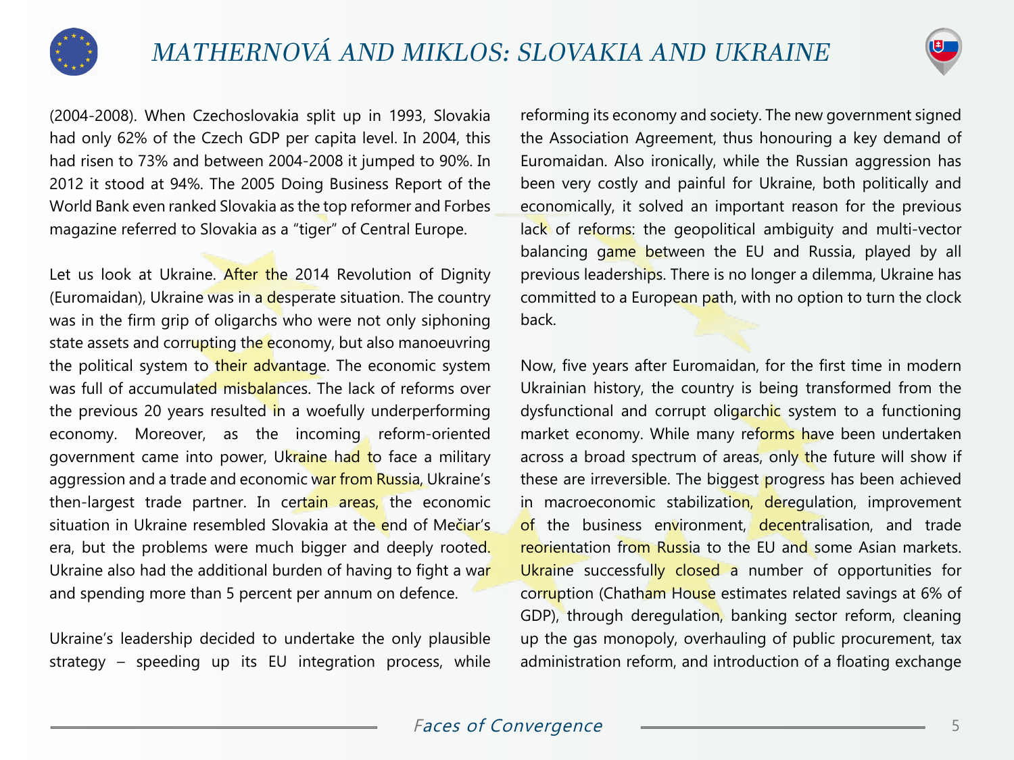

(2004-2008). When Czechoslovakia split up in 1993, Slovakia had only 62% of the Czech GDP per capita level. In 2004, this had risen to 73% and between 2004-2008 it jumped to 90%. In 2012 it stood at 94%. The 2005 Doing Business Report of the World Bank even ranked Slovakia as the top reformer and Forbes magazine referred to Slovakia as a "tiger" of Central Europe.

Let us look at Ukraine. After the 2014 Revolution of Dignity (Euromaidan), Ukraine was in a desperate situation. The country was in the firm grip of oligarchs who were not only siphoning state assets and corrupting the economy, but also manoeuvring the political system to their advantage. The economic system was full of accumulated misbalances. The lack of reforms over the previous 20 years resulted in a woefully underperforming economy. Moreover, as the incoming reform-oriented government came into power, Ukraine had to face a military aggression and a trade and economic war from Russia, Ukraine's then-largest trade partner. In certain areas, the economic situation in Ukraine resembled Slovakia at the end of Mečiar's era, but the problems were much bigger and deeply rooted. Ukraine also had the additional burden of having to fight a war and spending more than 5 percent per annum on defence.

Ukraine's leadership decided to undertake the only plausible strategy – speeding up its EU integration process, while reforming its economy and society. The new government signed the Association Agreement, thus honouring a key demand of Euromaidan. Also ironically, while the Russian aggression has been very costly and painful for Ukraine, both politically and economically, it solved an important reason for the previous lack of reforms: the geopolitical ambiguity and multi-vector balancing game between the EU and Russia, played by all previous leaderships. There is no longer a dilemma, Ukraine has committed to a European path, with no option to turn the clock back.

Now, five years after Euromaidan, for the first time in modern Ukrainian history, the country is being transformed from the dysfunctional and corrupt oligarchic system to a functioning market economy. While many reforms have been undertaken across a broad spectrum of areas, only the future will show if these are irreversible. The biggest progress has been achieved in macroeconomic stabilization, deregulation, improvement of the business environment, decentralisation, and trade reorientation from Russia to the EU and some Asian markets. Ukraine successfully closed a number of opportunities for corruption (Chatham House estimates related savings at 6% of GDP), through deregulation, banking sector reform, cleaning up the gas monopoly, overhauling of public procurement, tax administration reform, and introduction of a floating exchange